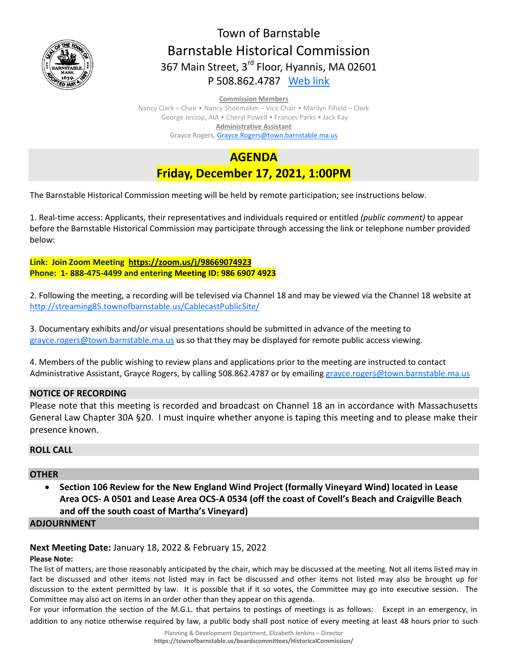

# Town of Barnstable Barnstable Historical Commission 367 Main Street, 3<sup>rd</sup> Floor, Hyannis, MA 02601 P 508.862.4787 [Web link](https://tobweb.town.barnstable.ma.us/boardscommittees/HistoricalCommission/default.asp?brd=Historical+Commission&year=2021)

#### **Commission Members**

Nancy Clark – Chair • Nancy Shoemaker – Vice Chair • Marilyn Fifield – Clerk George Jessop, AIA • Cheryl Powell • Frances Parks • Jack Kay **Administrative Assistant** Grayce Rogers[, Grayce.Rogers@town.barnstable.ma.us](mailto:Grayce.Rogers@town.barnstable.ma.us)

**AGENDA Friday, December 17, 2021, 1:00PM**

The Barnstable Historical Commission meeting will be held by remote participation; see instructions below.

1. Real-time access: Applicants, their representatives and individuals required or entitled *(public comment)* to appear before the Barnstable Historical Commission may participate through accessing the link or telephone number provided below:

**Link: Join Zoom Meeting <https://zoom.us/j/98669074923> Phone: 1- 888-475-4499 and entering Meeting ID: 986 6907 4923**

2. Following the meeting, a recording will be televised via Channel 18 and may be viewed via the Channel 18 website at <http://streaming85.townofbarnstable.us/CablecastPublicSite/>

3. Documentary exhibits and/or visual presentations should be submitted in advance of the meeting to [grayce.rogers@town.barnstable.ma.us](mailto:grayce.rogers@town.barnstable.ma.us) us so that they may be displayed for remote public access viewing.

4. Members of the public wishing to review plans and applications prior to the meeting are instructed to contact Administrative Assistant, Grayce Rogers, by calling 508.862.4787 or by emailin[g grayce.rogers@town.barnstable.ma.us](mailto:grayce.rogers@town.barnstable.ma.us)

## **NOTICE OF RECORDING**

Please note that this meeting is recorded and broadcast on Channel 18 an in accordance with Massachusetts General Law Chapter 30A §20. I must inquire whether anyone is taping this meeting and to please make their presence known.

## **ROLL CALL**

## **OTHER**

 **Section 106 Review for the New England Wind Project (formally Vineyard Wind) located in Lease Area OCS- A 0501 and Lease Area OCS-A 0534 (off the coast of Covell's Beach and Craigville Beach and off the south coast of Martha's Vineyard)**

#### **ADJOURNMENT**

## **Next Meeting Date:** January 18, 2022 & February 15, 2022

#### **Please Note:**

The list of matters, are those reasonably anticipated by the chair, which may be discussed at the meeting. Not all items listed may in fact be discussed and other items not listed may in fact be discussed and other items not listed may also be brought up for discussion to the extent permitted by law. It is possible that if it so votes, the Committee may go into executive session. The Committee may also act on items in an order other than they appear on this agenda.

For your information the section of the M.G.L. that pertains to postings of meetings is as follows: Except in an emergency, in addition to any notice otherwise required by law, a public body shall post notice of every meeting at least 48 hours prior to such